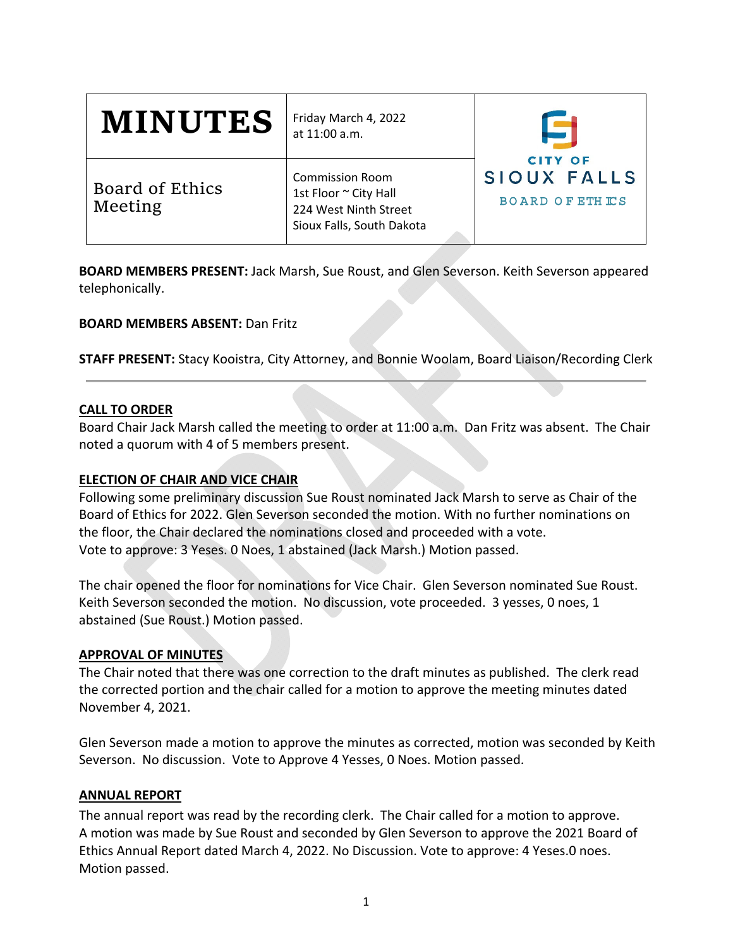| <b>MINUTES</b>             | Friday March 4, 2022<br>at 11:00 a.m.                                                                 |                                                         |
|----------------------------|-------------------------------------------------------------------------------------------------------|---------------------------------------------------------|
| Board of Ethics<br>Meeting | <b>Commission Room</b><br>1st Floor ~ City Hall<br>224 West Ninth Street<br>Sioux Falls, South Dakota | <b>CITY OF</b><br>SIOUX FALLS<br><b>BOARD OF ETHICS</b> |

**BOARD MEMBERS PRESENT:** Jack Marsh, Sue Roust, and Glen Severson. Keith Severson appeared telephonically.

## **BOARD MEMBERS ABSENT:** Dan Fritz

**STAFF PRESENT:** Stacy Kooistra, City Attorney, and Bonnie Woolam, Board Liaison/Recording Clerk

## **CALL TO ORDER**

Board Chair Jack Marsh called the meeting to order at 11:00 a.m. Dan Fritz was absent. The Chair noted a quorum with 4 of 5 members present.

## **ELECTION OF CHAIR AND VICE CHAIR**

Following some preliminary discussion Sue Roust nominated Jack Marsh to serve as Chair of the Board of Ethics for 2022. Glen Severson seconded the motion. With no further nominations on the floor, the Chair declared the nominations closed and proceeded with a vote. Vote to approve: 3 Yeses. 0 Noes, 1 abstained (Jack Marsh.) Motion passed.

The chair opened the floor for nominations for Vice Chair. Glen Severson nominated Sue Roust. Keith Severson seconded the motion. No discussion, vote proceeded. 3 yesses, 0 noes, 1 abstained (Sue Roust.) Motion passed.

## **APPROVAL OF MINUTES**

The Chair noted that there was one correction to the draft minutes as published. The clerk read the corrected portion and the chair called for a motion to approve the meeting minutes dated November 4, 2021.

Glen Severson made a motion to approve the minutes as corrected, motion was seconded by Keith Severson. No discussion. Vote to Approve 4 Yesses, 0 Noes. Motion passed.

## **ANNUAL REPORT**

The annual report was read by the recording clerk. The Chair called for a motion to approve. A motion was made by Sue Roust and seconded by Glen Severson to approve the 2021 Board of Ethics Annual Report dated March 4, 2022. No Discussion. Vote to approve: 4 Yeses.0 noes. Motion passed.